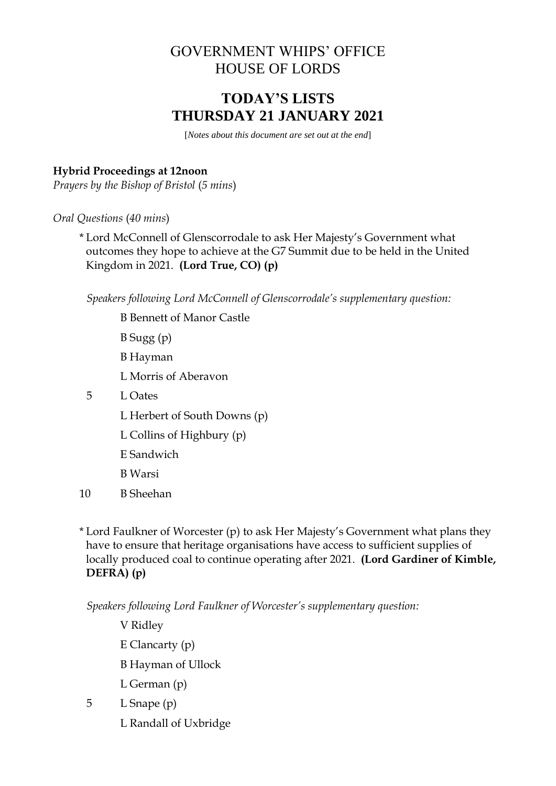# GOVERNMENT WHIPS' OFFICE HOUSE OF LORDS

# **TODAY'S LISTS THURSDAY 21 JANUARY 2021**

[*Notes about this document are set out at the end*]

# **Hybrid Proceedings at 12noon**

*Prayers by the Bishop of Bristol* (*5 mins*)

*Oral Questions* (*40 mins*)

\* Lord McConnell of Glenscorrodale to ask Her Majesty's Government what outcomes they hope to achieve at the G7 Summit due to be held in the United Kingdom in 2021. **(Lord True, CO) (p)**

*Speakers following Lord McConnell of Glenscorrodale's supplementary question:*

- B Bennett of Manor Castle
- B Sugg (p)
- B Hayman
- L Morris of Aberavon
- 5 L Oates
	- L Herbert of South Downs (p)
	- L Collins of Highbury (p)
	- E Sandwich
	- B Warsi
- 10 B Sheehan

\* Lord Faulkner of Worcester (p) to ask Her Majesty's Government what plans they have to ensure that heritage organisations have access to sufficient supplies of locally produced coal to continue operating after 2021. **(Lord Gardiner of Kimble, DEFRA) (p)**

*Speakers following Lord Faulkner of Worcester's supplementary question:*

- V Ridley E Clancarty (p)
- B Hayman of Ullock
- L German (p)
- 5 L Snape (p)
	- L Randall of Uxbridge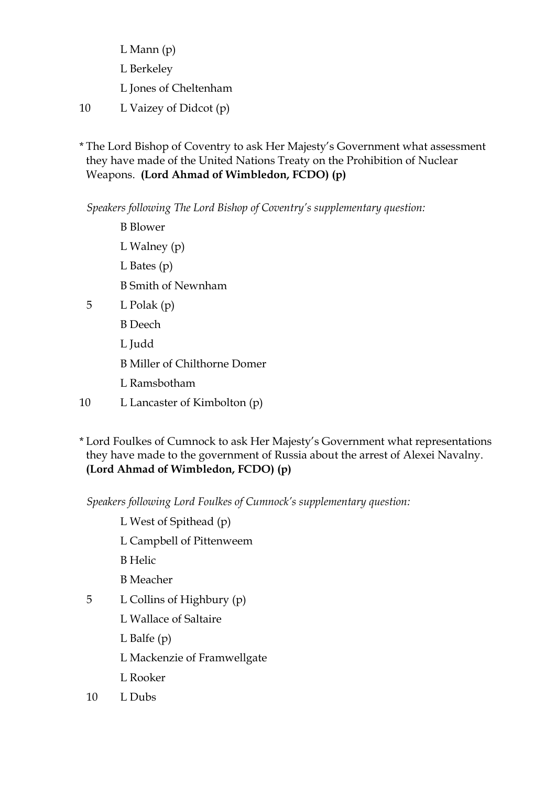- L Mann (p)
- L Berkeley
- L Jones of Cheltenham
- 10 L Vaizey of Didcot (p)

\* The Lord Bishop of Coventry to ask Her Majesty's Government what assessment they have made of the United Nations Treaty on the Prohibition of Nuclear Weapons. **(Lord Ahmad of Wimbledon, FCDO) (p)**

*Speakers following The Lord Bishop of Coventry's supplementary question:*

- B Blower L Walney (p) L Bates (p) B Smith of Newnham  $5$  L Polak (p) B Deech L Judd B Miller of Chilthorne Domer
	- L Ramsbotham
- 10 L Lancaster of Kimbolton (p)
- \* Lord Foulkes of Cumnock to ask Her Majesty's Government what representations they have made to the government of Russia about the arrest of Alexei Navalny. **(Lord Ahmad of Wimbledon, FCDO) (p)**

*Speakers following Lord Foulkes of Cumnock's supplementary question:*

- L West of Spithead (p)
- L Campbell of Pittenweem

B Helic

B Meacher

- 5 L Collins of Highbury (p)
	- L Wallace of Saltaire
	- L Balfe (p)
	- L Mackenzie of Framwellgate
	- L Rooker
- 10 L Dubs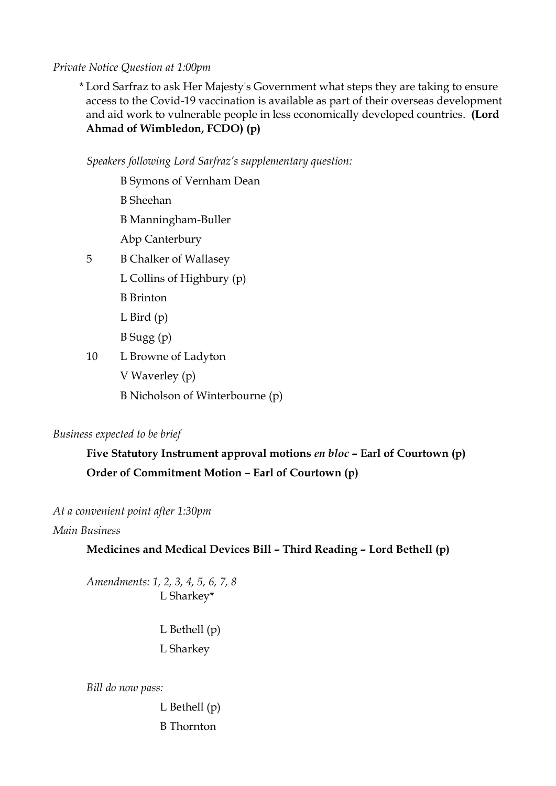### *Private Notice Question at 1:00pm*

\* Lord Sarfraz to ask Her Majesty's Government what steps they are taking to ensure access to the Covid-19 vaccination is available as part of their overseas development and aid work to vulnerable people in less economically developed countries. **(Lord Ahmad of Wimbledon, FCDO) (p)**

*Speakers following Lord Sarfraz's supplementary question:*

- B Symons of Vernham Dean B Sheehan B Manningham-Buller Abp Canterbury
- 5 B Chalker of Wallasey
	- L Collins of Highbury (p)
	- B Brinton
	- L Bird  $(p)$
	- B Sugg (p)
- 10 L Browne of Ladyton
	- V Waverley (p)
	- B Nicholson of Winterbourne (p)

### *Business expected to be brief*

**Five Statutory Instrument approval motions** *en bloc* **– Earl of Courtown (p) Order of Commitment Motion – Earl of Courtown (p)**

#### *At a convenient point after 1:30pm*

#### *Main Business*

### **Medicines and Medical Devices Bill – Third Reading – Lord Bethell (p)**

*Amendments: 1, 2, 3, 4, 5, 6, 7, 8* L Sharkey\*

> L Bethell (p) L Sharkey

#### *Bill do now pass:*

L Bethell (p) B Thornton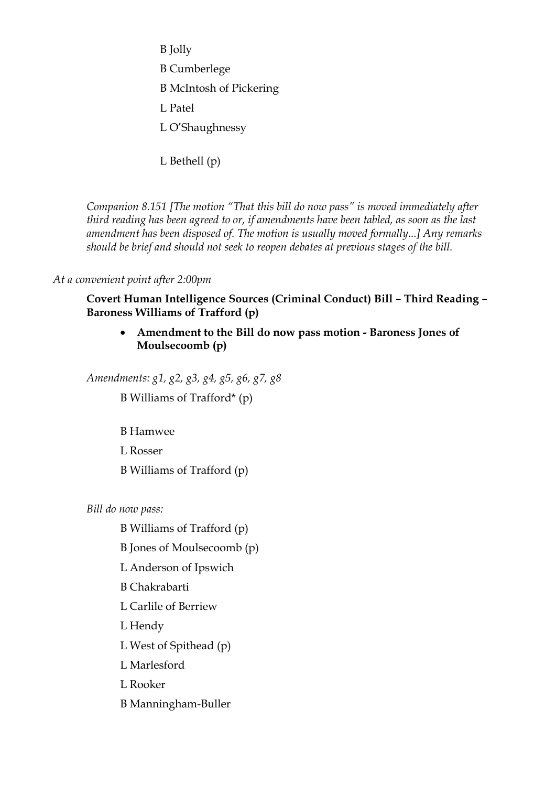B Jolly B Cumberlege B McIntosh of Pickering L Patel L O'Shaughnessy

L Bethell (p)

*Companion 8.151 [The motion "That this bill do now pass" is moved immediately after third reading has been agreed to or, if amendments have been tabled, as soon as the last amendment has been disposed of. The motion is usually moved formally...] Any remarks should be brief and should not seek to reopen debates at previous stages of the bill.*

### *At a convenient point after 2:00pm*

**Covert Human Intelligence Sources (Criminal Conduct) Bill – Third Reading – Baroness Williams of Trafford (p)**

• **Amendment to the Bill do now pass motion - Baroness Jones of Moulsecoomb (p)**

*Amendments: g1, g2, g3, g4, g5, g6, g7, g8*

B Williams of Trafford\* (p)

B Hamwee

L Rosser

B Williams of Trafford (p)

*Bill do now pass:*

B Williams of Trafford (p)

B Jones of Moulsecoomb (p)

L Anderson of Ipswich

B Chakrabarti

L Carlile of Berriew

L Hendy

L West of Spithead (p)

L Marlesford

L Rooker

B Manningham-Buller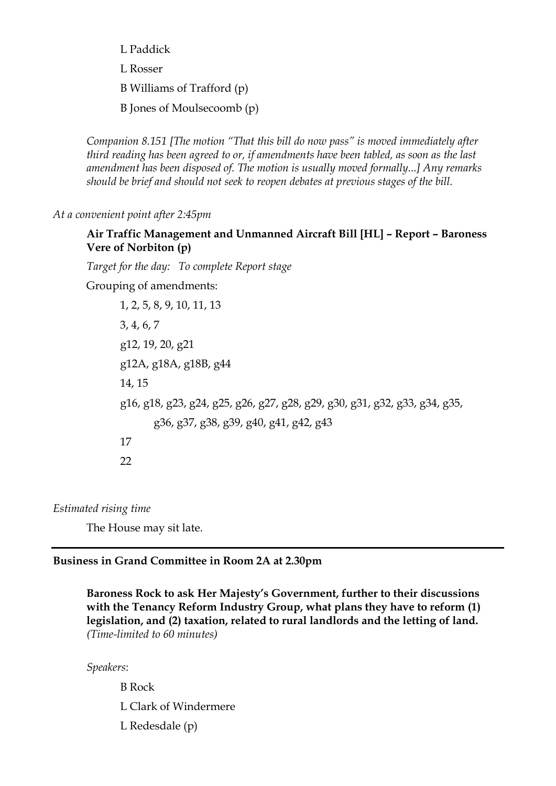L Paddick L Rosser B Williams of Trafford (p) B Jones of Moulsecoomb (p)

*Companion 8.151 [The motion "That this bill do now pass" is moved immediately after third reading has been agreed to or, if amendments have been tabled, as soon as the last amendment has been disposed of. The motion is usually moved formally...] Any remarks should be brief and should not seek to reopen debates at previous stages of the bill.*

*At a convenient point after 2:45pm*

### **Air Traffic Management and Unmanned Aircraft Bill [HL] – Report – Baroness Vere of Norbiton (p)**

*Target for the day: To complete Report stage* 

Grouping of amendments:

1, 2, 5, 8, 9, 10, 11, 13 3, 4, 6, 7 g12, 19, 20, g21 g12A, g18A, g18B, g44 14, 15 g16, g18, g23, g24, g25, g26, g27, g28, g29, g30, g31, g32, g33, g34, g35, g36, g37, g38, g39, g40, g41, g42, g43 17 22

*Estimated rising time* 

The House may sit late.

# **Business in Grand Committee in Room 2A at 2.30pm**

**Baroness Rock to ask Her Majesty's Government, further to their discussions with the Tenancy Reform Industry Group, what plans they have to reform (1) legislation, and (2) taxation, related to rural landlords and the letting of land.** *(Time-limited to 60 minutes)*

*Speakers*:

B Rock

- L Clark of Windermere
- L Redesdale (p)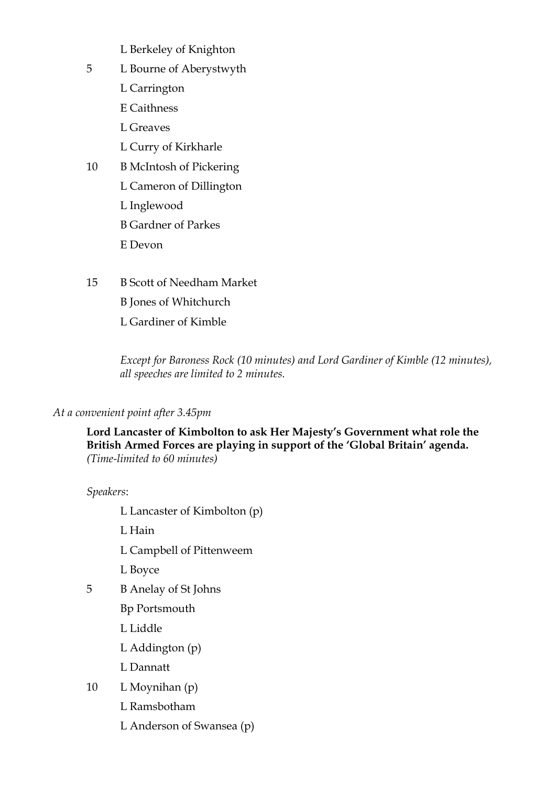- L Berkeley of Knighton
- 5 L Bourne of Aberystwyth
	- L Carrington
	- E Caithness
	- L Greaves
	- L Curry of Kirkharle
- 10 B McIntosh of Pickering
	- L Cameron of Dillington
	- L Inglewood
	- B Gardner of Parkes
	- E Devon
- 15 B Scott of Needham Market
	- B Jones of Whitchurch
	- L Gardiner of Kimble

*Except for Baroness Rock (10 minutes) and Lord Gardiner of Kimble (12 minutes), all speeches are limited to 2 minutes.*

# *At a convenient point after 3.45pm*

**Lord Lancaster of Kimbolton to ask Her Majesty's Government what role the British Armed Forces are playing in support of the 'Global Britain' agenda.** *(Time-limited to 60 minutes)*

*Speakers*:

- L Lancaster of Kimbolton (p)
- L Hain
- L Campbell of Pittenweem
- L Boyce
- 5 B Anelay of St Johns
	- Bp Portsmouth
	- L Liddle
	- L Addington (p)
	- L Dannatt
- 10 L Moynihan (p)
	- L Ramsbotham
	- L Anderson of Swansea (p)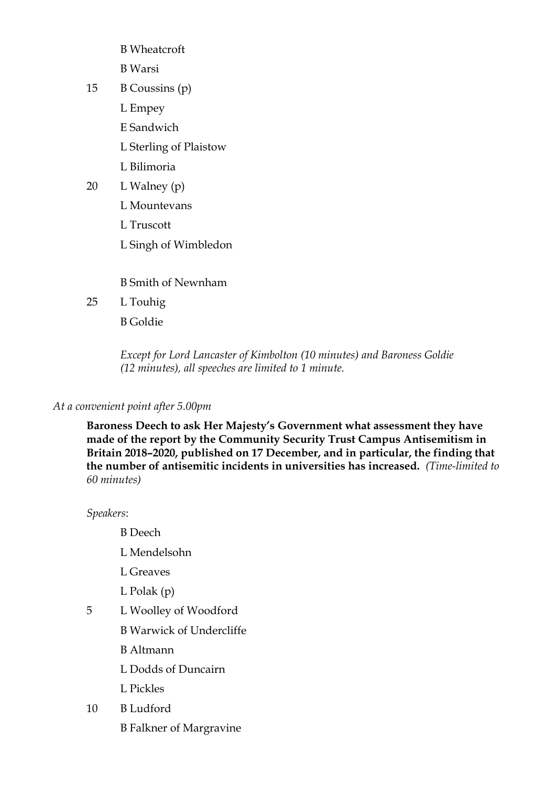B Wheatcroft

B Warsi

- 15 B Coussins (p)
	- L Empey
	- E Sandwich
	- L Sterling of Plaistow
	- L Bilimoria
- 20 L Walney (p)
	- L Mountevans
	- L Truscott
	- L Singh of Wimbledon
	- B Smith of Newnham
- 25 L Touhig

B Goldie

*Except for Lord Lancaster of Kimbolton (10 minutes) and Baroness Goldie (12 minutes), all speeches are limited to 1 minute.*

### *At a convenient point after 5.00pm*

**Baroness Deech to ask Her Majesty's Government what assessment they have made of the report by the Community Security Trust Campus Antisemitism in Britain 2018–2020, published on 17 December, and in particular, the finding that the number of antisemitic incidents in universities has increased.** *(Time-limited to 60 minutes)*

*Speakers*:

B Deech

- L Mendelsohn
- L Greaves
- L Polak (p)
- 5 L Woolley of Woodford
	- B Warwick of Undercliffe
	- B Altmann
	- L Dodds of Duncairn
	- L Pickles
- 10 B Ludford
	- B Falkner of Margravine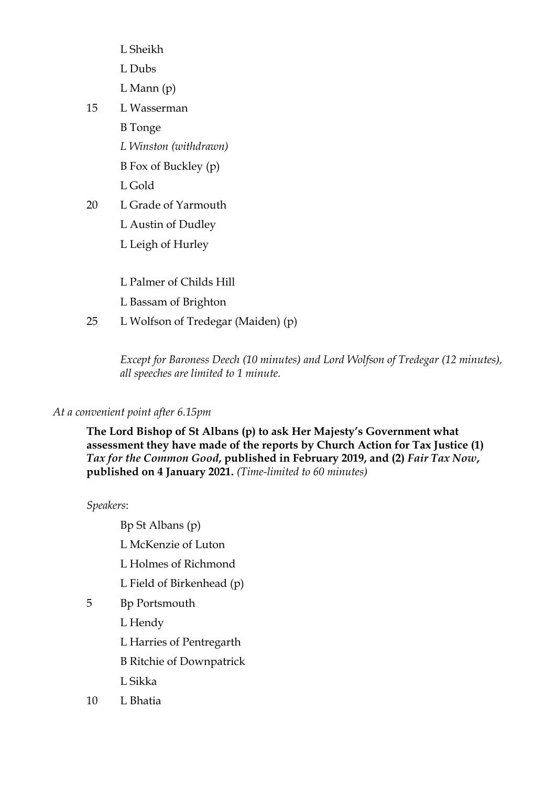- L Sheikh
- L Dubs
- L Mann (p)
- 15 L Wasserman
	- B Tonge
	- *L Winston (withdrawn)*
	- B Fox of Buckley (p)
	- L Gold
- 20 L Grade of Yarmouth
	- L Austin of Dudley
	- L Leigh of Hurley
	- L Palmer of Childs Hill
	- L Bassam of Brighton
- 25 L Wolfson of Tredegar (Maiden) (p)

*Except for Baroness Deech (10 minutes) and Lord Wolfson of Tredegar (12 minutes), all speeches are limited to 1 minute.*

# *At a convenient point after 6.15pm*

**The Lord Bishop of St Albans (p) to ask Her Majesty's Government what assessment they have made of the reports by Church Action for Tax Justice (1)**  *Tax for the Common Good***, published in February 2019, and (2)** *Fair Tax Now***, published on 4 January 2021.** *(Time-limited to 60 minutes)*

# *Speakers*:

- Bp St Albans (p)
- L McKenzie of Luton
- L Holmes of Richmond
- L Field of Birkenhead (p)
- 5 Bp Portsmouth
	- L Hendy
	- L Harries of Pentregarth
	- B Ritchie of Downpatrick
	- L Sikka
- 10 L Bhatia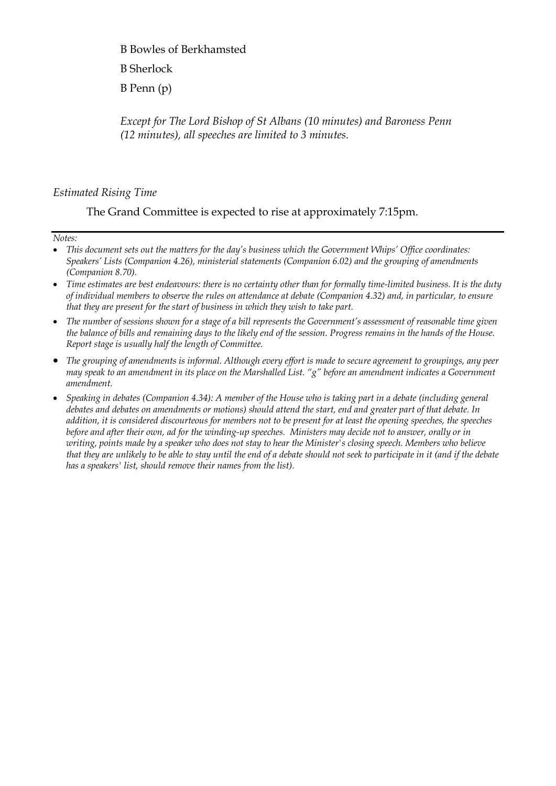B Bowles of Berkhamsted B Sherlock B Penn (p)

*Except for The Lord Bishop of St Albans (10 minutes) and Baroness Penn (12 minutes), all speeches are limited to 3 minutes.*

### *Estimated Rising Time*

The Grand Committee is expected to rise at approximately 7:15pm.

#### *Notes:*

- *This document sets out the matters for the day's business which the Government Whips' Office coordinates: Speakers' Lists (Companion 4.26), ministerial statements (Companion 6.02) and the grouping of amendments (Companion 8.70).*
- *Time estimates are best endeavours: there is no certainty other than for formally time-limited business. It is the duty of individual members to observe the rules on attendance at debate (Companion 4.32) and, in particular, to ensure that they are present for the start of business in which they wish to take part.*
- *The number of sessions shown for a stage of a bill represents the Government's assessment of reasonable time given the balance of bills and remaining days to the likely end of the session. Progress remains in the hands of the House. Report stage is usually half the length of Committee.*
- *The grouping of amendments is informal. Although every effort is made to secure agreement to groupings, any peer may speak to an amendment in its place on the Marshalled List. "g" before an amendment indicates a Government amendment.*
- *Speaking in debates (Companion 4.34): A member of the House who is taking part in a debate (including general debates and debates on amendments or motions) should attend the start, end and greater part of that debate. In addition, it is considered discourteous for members not to be present for at least the opening speeches, the speeches before and after their own, ad for the winding-up speeches. Ministers may decide not to answer, orally or in writing, points made by a speaker who does not stay to hear the Minister's closing speech. Members who believe that they are unlikely to be able to stay until the end of a debate should not seek to participate in it (and if the debate has a speakers' list, should remove their names from the list).*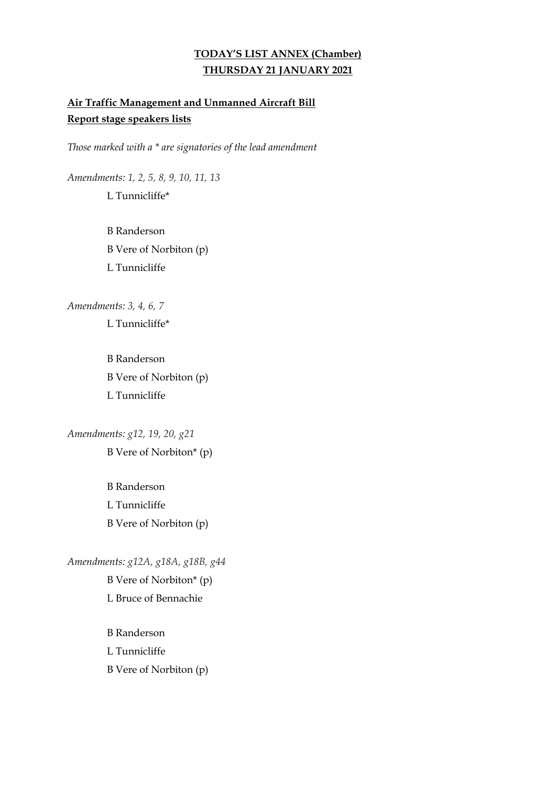# **TODAY'S LIST ANNEX (Chamber) THURSDAY 21 JANUARY 2021**

# **Air Traffic Management and Unmanned Aircraft Bill Report stage speakers lists**

*Those marked with a \* are signatories of the lead amendment*

*Amendments: 1, 2, 5, 8, 9, 10, 11, 13* L Tunnicliffe\*

> B Randerson B Vere of Norbiton (p) L Tunnicliffe

*Amendments: 3, 4, 6, 7* L Tunnicliffe\*

> B Randerson B Vere of Norbiton (p) L Tunnicliffe

*Amendments: g12, 19, 20, g21*

B Vere of Norbiton\* (p)

B Randerson L Tunnicliffe B Vere of Norbiton (p)

*Amendments: g12A, g18A, g18B, g44*

B Vere of Norbiton\* (p) L Bruce of Bennachie

B Randerson L Tunnicliffe B Vere of Norbiton (p)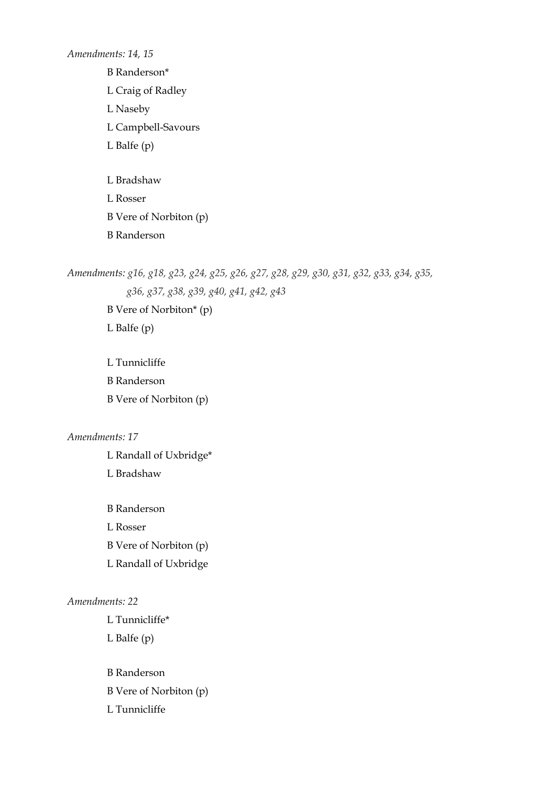*Amendments: 14, 15*

B Randerson\* L Craig of Radley L Naseby L Campbell-Savours L Balfe (p) L Bradshaw L Rosser B Vere of Norbiton (p)

*Amendments: g16, g18, g23, g24, g25, g26, g27, g28, g29, g30, g31, g32, g33, g34, g35, g36, g37, g38, g39, g40, g41, g42, g43* 

B Vere of Norbiton\* (p) L Balfe (p)

B Randerson

L Tunnicliffe B Randerson B Vere of Norbiton (p)

#### *Amendments: 17*

L Randall of Uxbridge\* L Bradshaw

B Randerson L Rosser B Vere of Norbiton (p)

L Randall of Uxbridge

#### *Amendments: 22*

L Tunnicliffe\* L Balfe (p)

B Randerson B Vere of Norbiton (p) L Tunnicliffe